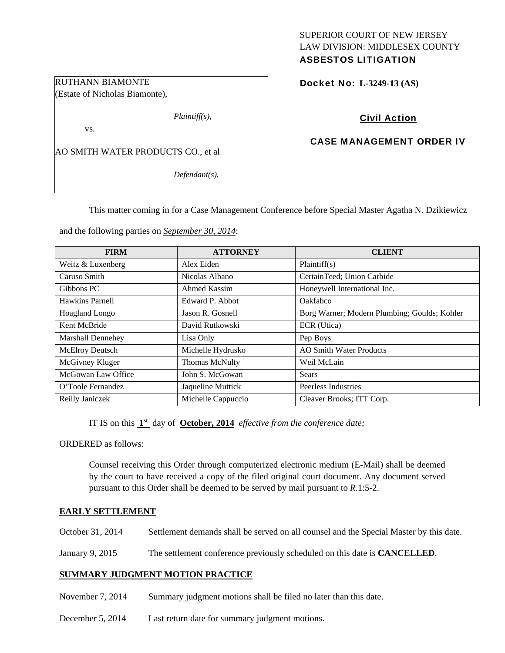# SUPERIOR COURT OF NEW JERSEY LAW DIVISION: MIDDLESEX COUNTY ASBESTOS LITIGATION

Docket No: **L-3249-13 (AS)** 

# Civil Action

## CASE MANAGEMENT ORDER IV

AO SMITH WATER PRODUCTS CO., et al

RUTHANN BIAMONTE (Estate of Nicholas Biamonte),

vs.

*Defendant(s).* 

*Plaintiff(s),* 

This matter coming in for a Case Management Conference before Special Master Agatha N. Dzikiewicz

and the following parties on *September 30, 2014*:

| <b>FIRM</b>              | <b>ATTORNEY</b>       | <b>CLIENT</b>                                |
|--------------------------|-----------------------|----------------------------------------------|
| Weitz & Luxenberg        | Alex Eiden            | Plaintiff(s)                                 |
| Caruso Smith             | Nicolas Albano        | CertainTeed; Union Carbide                   |
| Gibbons PC               | Ahmed Kassim          | Honeywell International Inc.                 |
| Hawkins Parnell          | Edward P. Abbot       | Oakfabco                                     |
| Hoagland Longo           | Jason R. Gosnell      | Borg Warner; Modern Plumbing; Goulds; Kohler |
| Kent McBride             | David Rutkowski       | ECR (Utica)                                  |
| <b>Marshall Dennehey</b> | Lisa Only             | Pep Boys                                     |
| McElroy Deutsch          | Michelle Hydrusko     | <b>AO Smith Water Products</b>               |
| McGivney Kluger          | <b>Thomas McNulty</b> | Weil McLain                                  |
| McGowan Law Office       | John S. McGowan       | Sears                                        |
| O'Toole Fernandez        | Jaqueline Muttick     | Peerless Industries                          |
| Reilly Janiczek          | Michelle Cappuccio    | Cleaver Brooks; ITT Corp.                    |

IT IS on this **1st** day of **October, 2014** *effective from the conference date;*

ORDERED as follows:

Counsel receiving this Order through computerized electronic medium (E-Mail) shall be deemed by the court to have received a copy of the filed original court document. Any document served pursuant to this Order shall be deemed to be served by mail pursuant to *R*.1:5-2.

## **EARLY SETTLEMENT**

October 31, 2014 Settlement demands shall be served on all counsel and the Special Master by this date.

January 9, 2015 The settlement conference previously scheduled on this date is **CANCELLED**.

## **SUMMARY JUDGMENT MOTION PRACTICE**

- November 7, 2014 Summary judgment motions shall be filed no later than this date.
- December 5, 2014 Last return date for summary judgment motions.